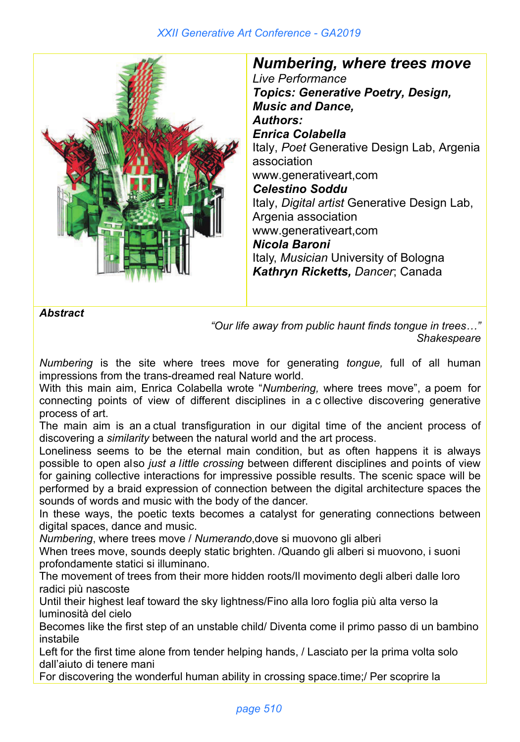## *XXII Generative Art Conference - GA2019*



*Numbering, where trees move Live Performance Topics: Generative Poetry, Design, Music and Dance, Authors: Enrica Colabella* Italy, *Poet* Generative Design Lab, Argenia association www.generativeart,com *Celestino Soddu* Italy, *Digital artist* Generative Design Lab, Argenia association www.generativeart,com *Nicola Baroni* Italy, *Musician* University of Bologna *Kathryn Ricketts* Canada, Univ. of Regina, Saskatchewan

*Abstract*

*"Our life away from public haunt finds tongue in trees…" Shakespeare*

*Numbering* is the site where trees move for generating *tongue,* full of all human impressions from the trans-dreamed real Nature world.

With this main aim, Enrica Colabella wrote "*Numbering,* where trees move", a poem for connecting points of view of different disciplines in a c ollective discovering generative process of art.

The main aim is an a ctual transfiguration in our digital time of the ancient process of discovering a *similarity* between the natural world and the art process.

Loneliness seems to be the eternal main condition, but as often happens it is always possible to open also *just a little crossing* between different disciplines and points of view for gaining collective interactions for impressive possible results. The scenic space will be performed by a braid expression of connection between the digital architecture spaces the sounds of words and music with the body of the dancer.

In these ways, the poetic texts becomes a catalyst for generating connections between digital spaces, dance and music.

*Numbering*, where trees move / *Numerando*,dove si muovono gli alberi

When trees move, sounds deeply static brighten. /Quando gli alberi si muovono, i suoni profondamente statici si illuminano.

The movement of trees from their more hidden roots/Il movimento degli alberi dalle loro radici più nascoste

Until their highest leaf toward the sky lightness/Fino alla loro foglia più alta verso la luminosità del cielo

Becomes like the first step of an unstable child/ Diventa come il primo passo di un bambino instabile

Left for the first time alone from tender helping hands, / Lasciato per la prima volta solo dall'aiuto di tenere mani

For discovering the wonderful human ability in crossing space.time;/ Per scoprire la